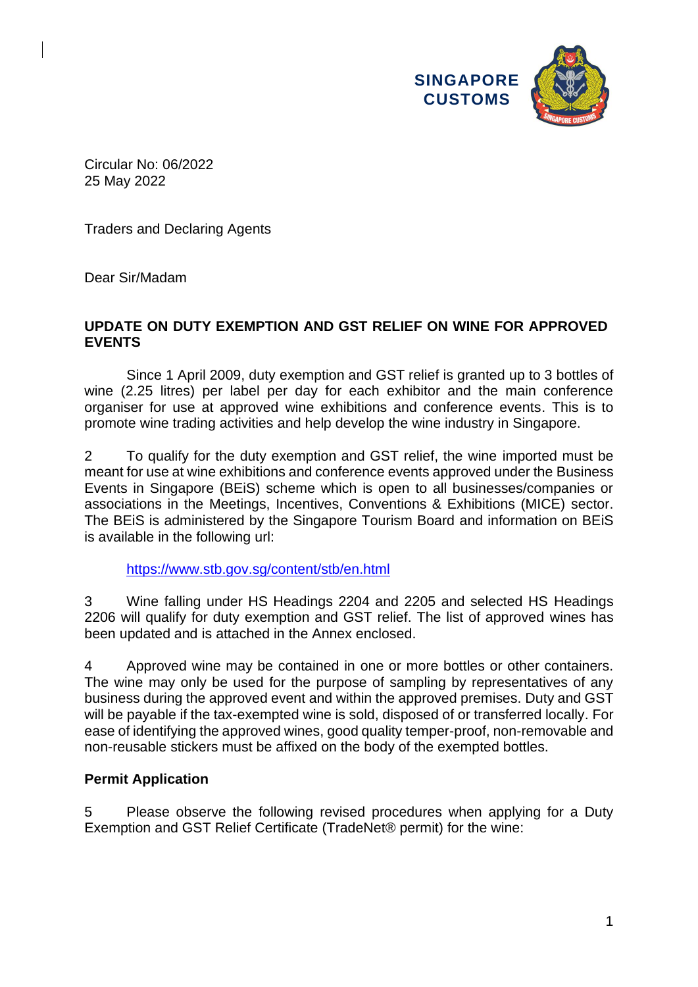

Circular No: 06/2022 25 May 2022

Traders and Declaring Agents

Dear Sir/Madam

## **UPDATE ON DUTY EXEMPTION AND GST RELIEF ON WINE FOR APPROVED EVENTS**

Since 1 April 2009, duty exemption and GST relief is granted up to 3 bottles of wine (2.25 litres) per label per day for each exhibitor and the main conference organiser for use at approved wine exhibitions and conference events. This is to promote wine trading activities and help develop the wine industry in Singapore.

2 To qualify for the duty exemption and GST relief, the wine imported must be meant for use at wine exhibitions and conference events approved under the Business Events in Singapore (BEiS) scheme which is open to all businesses/companies or associations in the Meetings, Incentives, Conventions & Exhibitions (MICE) sector. The BEiS is administered by the Singapore Tourism Board and information on BEiS is available in the following url:

<https://www.stb.gov.sg/content/stb/en.html>

3 Wine falling under HS Headings 2204 and 2205 and selected HS Headings 2206 will qualify for duty exemption and GST relief. The list of approved wines has been updated and is attached in the Annex enclosed.

4 Approved wine may be contained in one or more bottles or other containers. The wine may only be used for the purpose of sampling by representatives of any business during the approved event and within the approved premises. Duty and GST will be payable if the tax-exempted wine is sold, disposed of or transferred locally. For ease of identifying the approved wines, good quality temper-proof, non-removable and non-reusable stickers must be affixed on the body of the exempted bottles.

## **Permit Application**

5 Please observe the following revised procedures when applying for a Duty Exemption and GST Relief Certificate (TradeNet® permit) for the wine: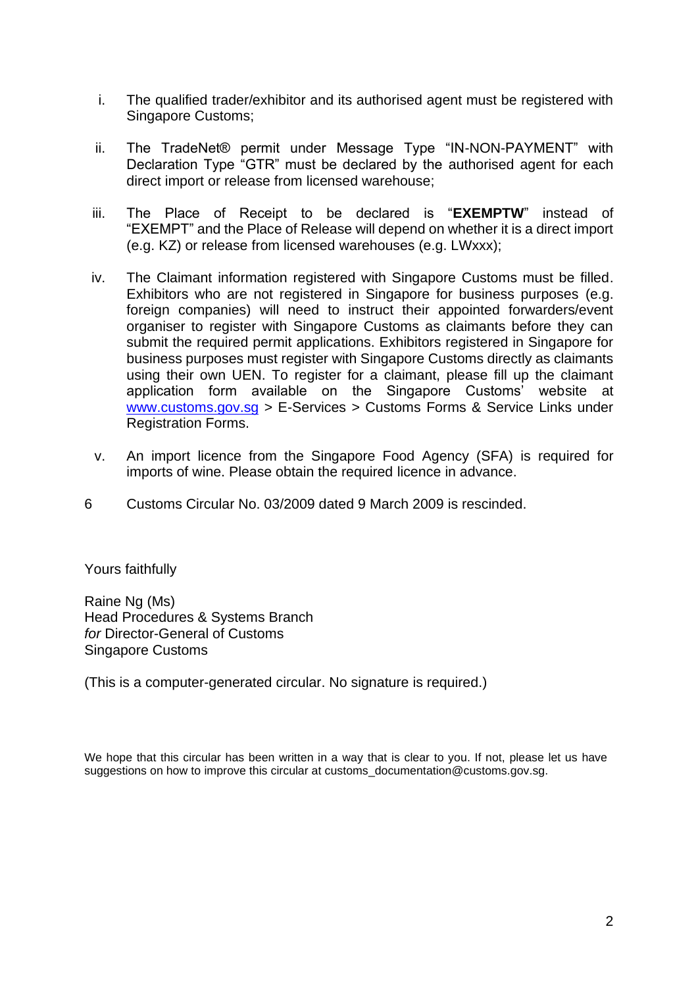- i. The qualified trader/exhibitor and its authorised agent must be registered with Singapore Customs;
- ii. The TradeNet® permit under Message Type "IN-NON-PAYMENT" with Declaration Type "GTR" must be declared by the authorised agent for each direct import or release from licensed warehouse;
- iii. The Place of Receipt to be declared is "**EXEMPTW**" instead of "EXEMPT" and the Place of Release will depend on whether it is a direct import (e.g. KZ) or release from licensed warehouses (e.g. LWxxx);
- iv. The Claimant information registered with Singapore Customs must be filled. Exhibitors who are not registered in Singapore for business purposes (e.g. foreign companies) will need to instruct their appointed forwarders/event organiser to register with Singapore Customs as claimants before they can submit the required permit applications. Exhibitors registered in Singapore for business purposes must register with Singapore Customs directly as claimants using their own UEN. To register for a claimant, please fill up the claimant application form available on the Singapore Customs' website at [www.customs.gov.sg](https://www.customs.gov.sg/) > E-Services > Customs Forms & Service Links under Registration Forms.
- v. An import licence from the Singapore Food Agency (SFA) is required for imports of wine. Please obtain the required licence in advance.
- 6 Customs Circular No. 03/2009 dated 9 March 2009 is rescinded.

Yours faithfully

Raine Ng (Ms) Head Procedures & Systems Branch *for* Director-General of Customs Singapore Customs

(This is a computer-generated circular. No signature is required.)

We hope that this circular has been written in a way that is clear to you. If not, please let us have suggestions on how to improve this circular at customs\_documentation@customs.gov.sg.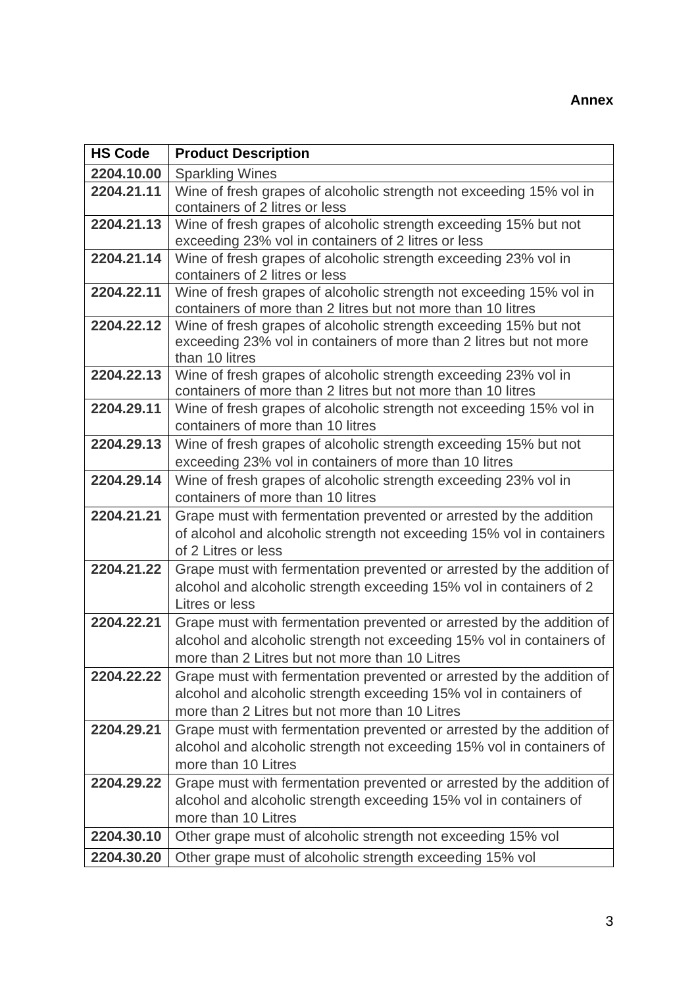## **Annex**

| <b>HS Code</b> | <b>Product Description</b>                                                                                                                                                                       |
|----------------|--------------------------------------------------------------------------------------------------------------------------------------------------------------------------------------------------|
| 2204.10.00     | <b>Sparkling Wines</b>                                                                                                                                                                           |
| 2204.21.11     | Wine of fresh grapes of alcoholic strength not exceeding 15% vol in<br>containers of 2 litres or less                                                                                            |
| 2204.21.13     | Wine of fresh grapes of alcoholic strength exceeding 15% but not<br>exceeding 23% vol in containers of 2 litres or less                                                                          |
| 2204.21.14     | Wine of fresh grapes of alcoholic strength exceeding 23% vol in<br>containers of 2 litres or less                                                                                                |
| 2204.22.11     | Wine of fresh grapes of alcoholic strength not exceeding 15% vol in<br>containers of more than 2 litres but not more than 10 litres                                                              |
| 2204.22.12     | Wine of fresh grapes of alcoholic strength exceeding 15% but not<br>exceeding 23% vol in containers of more than 2 litres but not more<br>than 10 litres                                         |
| 2204.22.13     | Wine of fresh grapes of alcoholic strength exceeding 23% vol in<br>containers of more than 2 litres but not more than 10 litres                                                                  |
| 2204.29.11     | Wine of fresh grapes of alcoholic strength not exceeding 15% vol in<br>containers of more than 10 litres                                                                                         |
| 2204.29.13     | Wine of fresh grapes of alcoholic strength exceeding 15% but not<br>exceeding 23% vol in containers of more than 10 litres                                                                       |
| 2204.29.14     | Wine of fresh grapes of alcoholic strength exceeding 23% vol in<br>containers of more than 10 litres                                                                                             |
| 2204.21.21     | Grape must with fermentation prevented or arrested by the addition<br>of alcohol and alcoholic strength not exceeding 15% vol in containers<br>of 2 Litres or less                               |
| 2204.21.22     | Grape must with fermentation prevented or arrested by the addition of<br>alcohol and alcoholic strength exceeding 15% vol in containers of 2<br>Litres or less                                   |
| 2204.22.21     | Grape must with fermentation prevented or arrested by the addition of<br>alcohol and alcoholic strength not exceeding 15% vol in containers of<br>more than 2 Litres but not more than 10 Litres |
| 2204.22.22     | Grape must with fermentation prevented or arrested by the addition of<br>alcohol and alcoholic strength exceeding 15% vol in containers of<br>more than 2 Litres but not more than 10 Litres     |
| 2204.29.21     | Grape must with fermentation prevented or arrested by the addition of<br>alcohol and alcoholic strength not exceeding 15% vol in containers of<br>more than 10 Litres                            |
| 2204.29.22     | Grape must with fermentation prevented or arrested by the addition of<br>alcohol and alcoholic strength exceeding 15% vol in containers of<br>more than 10 Litres                                |
| 2204.30.10     | Other grape must of alcoholic strength not exceeding 15% vol                                                                                                                                     |
| 2204.30.20     | Other grape must of alcoholic strength exceeding 15% vol                                                                                                                                         |